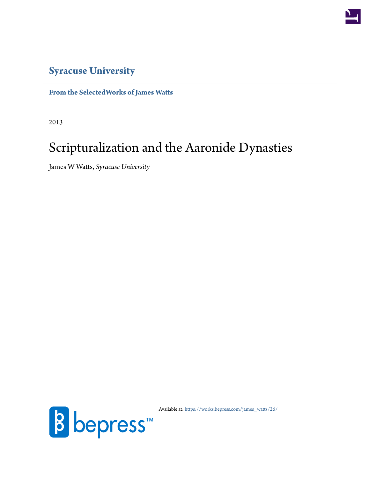

# **[Syracuse University](http://www.syracuse.edu/)**

### **[From the SelectedWorks of James Watts](https://works.bepress.com/james_watts/)**

2013

# Scripturalization and the Aaronide Dynasties

James W Watts, *Syracuse University*



Available at: [https://works.bepress.com/james\\_watts/26/](https://works.bepress.com/james_watts/26/)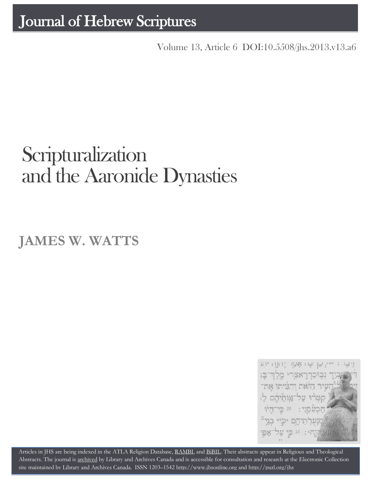Volume 13, Article 6 [DOI:10.5508/jhs.2013.v13.a6](http://dx.doi.org/10.5508/jhs.2013.v13.a6)

# **Scripturalization** and the Aaronide Dynasties

**JAMES W. WATTS**



Articles in JHS are being indexed in the ATLA Religion Database, [RAMBI,](http://jnul.huji.ac.il/rambi/) an[d BiBIL.](http://bibil.net/) Their abstracts appear in Religious and Theological Abstracts. The journal is [archived](http://epe.lac-bac.gc.ca/100/201/300/journal_hebrew/index.html) by Library and Archives Canada and is accessible for consultation and research at the Electronic Collection site maintained b[y Library and Archives Canada.](http://collectionscanada.ca/electroniccollection/003008-200-e.html) ISSN 1203–154[2 http://www.jhsonline.org](http://www.jhsonline.org/) and<http://purl.org/jhs>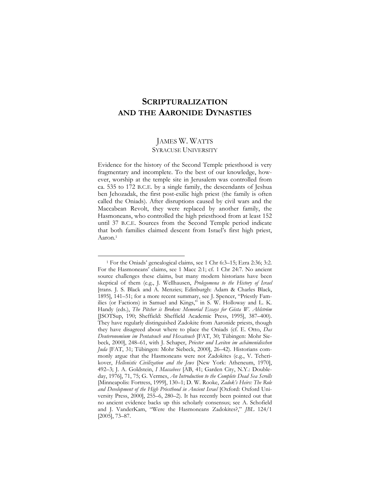## **SCRIPTURALIZATION AND THE AARONIDE DYNASTIES**

#### JAMES W. WATTS SYRACUSE UNIVERSITY

Evidence for the history of the Second Temple priesthood is very fragmentary and incomplete. To the best of our knowledge, however, worship at the temple site in Jerusalem was controlled from ca. 535 to 172 B.C.E. by a single family, the descendants of Jeshua ben Jehozadak, the first post-exilic high priest (the family is often called the Oniads). After disruptions caused by civil wars and the Maccabean Revolt, they were replaced by another family, the Hasmoneans, who controlled the high priesthood from at least 152 until 37 B.C.E. Sources from the Second Temple period indicate that both families claimed descent from Israel's first high priest, Aaron.<sup>1</sup>

<sup>1</sup> For the Oniads' genealogical claims, see 1 Chr 6:3–15; Ezra 2:36; 3:2. For the Hasmoneans' claims, see 1 Macc 2:1; cf. 1 Chr 24:7. No ancient source challenges these claims, but many modern historians have been skeptical of them (e.g., J. Wellhausen, *Prolegomena to the History of Israel* [trans. J. S. Black and A. Menzies; Edinburgh: Adam & Charles Black, 1895], 141–51; for a more recent summary, see J. Spencer, "Priestly Families (or Factions) in Samuel and Kings," in S. W. Holloway and L. K. Handy (eds.), *The Pitcher is Broken: Memorial Essays for Gösta W. Ahlström* [JSOTSup, 190; Sheffield: Sheffield Academic Press, 1995], 387–400). They have regularly distinguished Zadokite from Aaronide priests, though they have disagreed about where to place the Oniads (cf. E. Otto, *Das Deuteronomium im Pentateuch und Hexateuch* [FAT, 30; Tübingen: Mohr Siebeck, 2000], 248–61, with J. Schaper, *Priester und Leviten im achämenidischen Juda* [FAT, 31; Tübingen: Mohr Siebeck, 2000], 26–42). Historians commonly argue that the Hasmoneans were not Zadokites (e.g., V. Tcherikover, *Hellenistic Civilization and the Jews* [New York: Atheneum, 1970], 492–3; J. A. Goldstein, *I Maccabees* [AB, 41; Garden City, N.Y.: Doubleday, 1976], 71, 75; G. Vermes, *An Introduction to the Complete Dead Sea Scrolls* [Minneapolis: Fortress, 1999], 130–1; D. W. Rooke, *Zadok's Heirs: The Role and Development of the High Priesthood in Ancient Israel* [Oxford: Oxford University Press, 2000], 255–6, 280–2). It has recently been pointed out that no ancient evidence backs up this scholarly consensus; see A. Schofield and J. VanderKam, "Were the Hasmoneans Zadokites?," *JBL* 124/1 [2005], 73–87.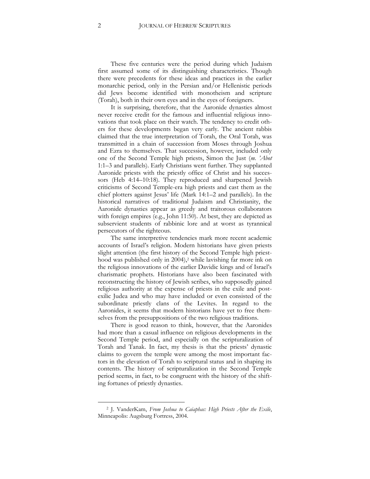These five centuries were the period during which Judaism first assumed some of its distinguishing characteristics. Though there were precedents for these ideas and practices in the earlier monarchic period, only in the Persian and/or Hellenistic periods did Jews become identified with monotheism and scripture (Torah), both in their own eyes and in the eyes of foreigners.

It is surprising, therefore, that the Aaronide dynasties almost never receive credit for the famous and influential religious innovations that took place on their watch. The tendency to credit others for these developments began very early. The ancient rabbis claimed that the true interpretation of Torah, the Oral Torah, was transmitted in a chain of succession from Moses through Joshua and Ezra to themselves. That succession, however, included only one of the Second Temple high priests, Simon the Just (*m. 'Abot* 1:1–3 and parallels). Early Christians went further. They supplanted Aaronide priests with the priestly office of Christ and his successors (Heb 4:14–10:18). They reproduced and sharpened Jewish criticisms of Second Temple-era high priests and cast them as the chief plotters against Jesus' life (Mark 14:1–2 and parallels). In the historical narratives of traditional Judaism and Christianity, the Aaronide dynasties appear as greedy and traitorous collaborators with foreign empires (e.g., John 11:50). At best, they are depicted as subservient students of rabbinic lore and at worst as tyrannical persecutors of the righteous.

The same interpretive tendencies mark more recent academic accounts of Israel's religion. Modern historians have given priests slight attention (the first history of the Second Temple high priesthood was published only in 2004), <sup>2</sup> while lavishing far more ink on the religious innovations of the earlier Davidic kings and of Israel's charismatic prophets. Historians have also been fascinated with reconstructing the history of Jewish scribes, who supposedly gained religious authority at the expense of priests in the exile and postexilic Judea and who may have included or even consisted of the subordinate priestly clans of the Levites. In regard to the Aaronides, it seems that modern historians have yet to free themselves from the presuppositions of the two religious traditions.

There is good reason to think, however, that the Aaronides had more than a casual influence on religious developments in the Second Temple period, and especially on the scripturalization of Torah and Tanak. In fact, my thesis is that the priests' dynastic claims to govern the temple were among the most important factors in the elevation of Torah to scriptural status and in shaping its contents. The history of scripturalization in the Second Temple period seems, in fact, to be congruent with the history of the shifting fortunes of priestly dynasties.

<sup>2</sup> J. VanderKam, *From Joshua to Caiaphas: High Priests After the Exile*, Minneapolis: Augsburg Fortress, 2004.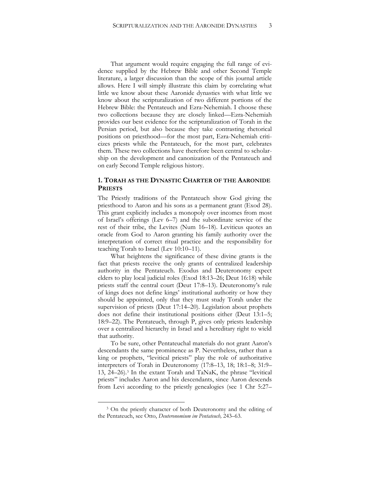That argument would require engaging the full range of evidence supplied by the Hebrew Bible and other Second Temple literature, a larger discussion than the scope of this journal article allows. Here I will simply illustrate this claim by correlating what little we know about these Aaronide dynasties with what little we know about the scripturalization of two different portions of the Hebrew Bible: the Pentateuch and Ezra-Nehemiah. I choose these two collections because they are closely linked—Ezra-Nehemiah provides our best evidence for the scripturalization of Torah in the Persian period, but also because they take contrasting rhetorical positions on priesthood—for the most part, Ezra-Nehemiah criticizes priests while the Pentateuch, for the most part, celebrates them. These two collections have therefore been central to scholarship on the development and canonization of the Pentateuch and on early Second Temple religious history.

#### **1. TORAH AS THE DYNASTIC CHARTER OF THE AARONIDE PRIESTS**

The Priestly traditions of the Pentateuch show God giving the priesthood to Aaron and his sons as a permanent grant (Exod 28). This grant explicitly includes a monopoly over incomes from most of Israel's offerings (Lev 6–7) and the subordinate service of the rest of their tribe, the Levites (Num 16–18). Leviticus quotes an oracle from God to Aaron granting his family authority over the interpretation of correct ritual practice and the responsibility for teaching Torah to Israel (Lev 10:10–11).

What heightens the significance of these divine grants is the fact that priests receive the only grants of centralized leadership authority in the Pentateuch. Exodus and Deuteronomy expect elders to play local judicial roles (Exod 18:13–26; Deut 16:18) while priests staff the central court (Deut 17:8–13). Deuteronomy's rule of kings does not define kings' institutional authority or how they should be appointed, only that they must study Torah under the supervision of priests (Deut 17:14–20). Legislation about prophets does not define their institutional positions either (Deut 13:1–5; 18:9–22). The Pentateuch, through P, gives only priests leadership over a centralized hierarchy in Israel and a hereditary right to wield that authority.

To be sure, other Pentateuchal materials do not grant Aaron's descendants the same prominence as P. Nevertheless, rather than a king or prophets, "levitical priests" play the role of authoritative interpreters of Torah in Deuteronomy (17:8–13, 18; 18:1–8; 31:9– 13, 24–26).<sup>3</sup> In the extant Torah and TaNaK, the phrase "levitical priests" includes Aaron and his descendants, since Aaron descends from Levi according to the priestly genealogies (see 1 Chr 5:27–

<sup>&</sup>lt;sup>3</sup> On the priestly character of both Deuteronomy and the editing of the Pentateuch, see Otto, *Deuteronomium im Pentateuch,* 243–63.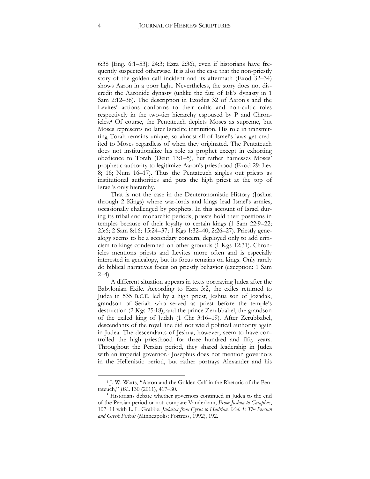6:38 [Eng. 6:1–53]; 24:3; Ezra 2:36), even if historians have frequently suspected otherwise. It is also the case that the non-priestly story of the golden calf incident and its aftermath (Exod 32–34) shows Aaron in a poor light. Nevertheless, the story does not discredit the Aaronide dynasty (unlike the fate of Eli's dynasty in 1 Sam 2:12–36). The description in Exodus 32 of Aaron's and the Levites' actions conforms to their cultic and non-cultic roles respectively in the two-tier hierarchy espoused by P and Chronicles. <sup>4</sup> Of course, the Pentateuch depicts Moses as supreme, but Moses represents no later Israelite institution. His role in transmitting Torah remains unique, so almost all of Israel's laws get credited to Moses regardless of when they originated. The Pentateuch does not institutionalize his role as prophet except in exhorting obedience to Torah (Deut 13:1–5), but rather harnesses Moses' prophetic authority to legitimize Aaron's priesthood (Exod 29; Lev 8; 16; Num 16–17). Thus the Pentateuch singles out priests as institutional authorities and puts the high priest at the top of Israel's only hierarchy.

That is not the case in the Deuteronomistic History (Joshua through 2 Kings) where war-lords and kings lead Israel's armies, occasionally challenged by prophets. In this account of Israel during its tribal and monarchic periods, priests hold their positions in temples because of their loyalty to certain kings (1 Sam 22:9–22; 23:6; 2 Sam 8:16; 15:24–37; 1 Kgs 1:32–40; 2:26–27). Priestly genealogy seems to be a secondary concern, deployed only to add criticism to kings condemned on other grounds (1 Kgs 12:31). Chronicles mentions priests and Levites more often and is especially interested in genealogy, but its focus remains on kings. Only rarely do biblical narratives focus on priestly behavior (exception: 1 Sam  $2-4$ ).

A different situation appears in texts portraying Judea after the Babylonian Exile. According to Ezra 3:2, the exiles returned to Judea in 535 B.C.E. led by a high priest, Jeshua son of Jozadak, grandson of Seriah who served as priest before the temple's destruction (2 Kgs 25:18), and the prince Zerubbabel, the grandson of the exiled king of Judah (1 Chr 3:16–19). After Zerubbabel, descendants of the royal line did not wield political authority again in Judea. The descendants of Jeshua, however, seem to have controlled the high priesthood for three hundred and fifty years. Throughout the Persian period, they shared leadership in Judea with an imperial governor.<sup>5</sup> Josephus does not mention governors in the Hellenistic period, but rather portrays Alexander and his

<sup>4</sup> J. W. Watts, "Aaron and the Golden Calf in the Rhetoric of the Pentateuch," *JBL* 130 (2011), 417–30.

<sup>5</sup> Historians debate whether governors continued in Judea to the end of the Persian period or not: compare Vanderkam, *From Joshua to Caiaphas*, 107–11 with L. L. Grabbe, *Judaism from Cyrus to Hadrian. Vol. 1: The Persian and Greek Periods* (Minneapolis: Fortress, 1992), 192.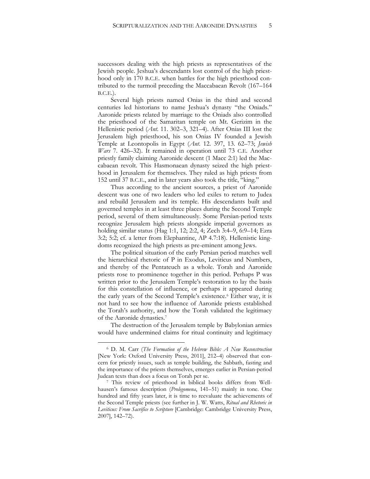successors dealing with the high priests as representatives of the Jewish people. Jeshua's descendants lost control of the high priesthood only in 170 B.C.E. when battles for the high priesthood contributed to the turmoil preceding the Maccabaean Revolt (167–164 B.C.E.).

Several high priests named Onias in the third and second centuries led historians to name Jeshua's dynasty "the Oniads." Aaronide priests related by marriage to the Oniads also controlled the priesthood of the Samaritan temple on Mt. Gerizim in the Hellenistic period (*Ant*. 11. 302–3, 321–4). After Onias III lost the Jerusalem high priesthood, his son Onias IV founded a Jewish Temple at Leontopolis in Egypt (*Ant*. 12. 397, 13. 62–73; *Jewish Wars* 7. 426–32). It remained in operation until 73 C.E. Another priestly family claiming Aaronide descent (1 Macc 2:1) led the Maccabaean revolt. This Hasmonaean dynasty seized the high priesthood in Jerusalem for themselves. They ruled as high priests from 152 until 37 B.C.E., and in later years also took the title, "king."

Thus according to the ancient sources, a priest of Aaronide descent was one of two leaders who led exiles to return to Judea and rebuild Jerusalem and its temple. His descendants built and governed temples in at least three places during the Second Temple period, several of them simultaneously. Some Persian-period texts recognize Jerusalem high priests alongside imperial governors as holding similar status (Hag 1:1, 12; 2:2, 4; Zech 3:4–9, 6:9–14; Ezra 3:2; 5:2; cf. a letter from Elephantine, AP 4.7:18). Hellenistic kingdoms recognized the high priests as pre-eminent among Jews.

The political situation of the early Persian period matches well the hierarchical rhetoric of P in Exodus, Leviticus and Numbers, and thereby of the Pentateuch as a whole. Torah and Aaronide priests rose to prominence together in this period. Perhaps P was written prior to the Jerusalem Temple's restoration to lay the basis for this constellation of influence, or perhaps it appeared during the early years of the Second Temple's existence.<sup>6</sup> Either way, it is not hard to see how the influence of Aaronide priests established the Torah's authority, and how the Torah validated the legitimacy of the Aaronide dynasties.<sup>7</sup>

The destruction of the Jerusalem temple by Babylonian armies would have undermined claims for ritual continuity and legitimacy

<sup>6</sup> D. M. Carr (*The Formation of the Hebrew Bible: A New Reconstruction* [New York: Oxford University Press, 2011], 212–4) observed that concern for priestly issues, such as temple building, the Sabbath, fasting and the importance of the priests themselves, emerges earlier in Persian-period Judean texts than does a focus on Torah per se.

<sup>7</sup> This review of priesthood in biblical books differs from Wellhausen's famous description (*Prolegomena*, 141–51) mainly in tone. One hundred and fifty years later, it is time to reevaluate the achievements of the Second Temple priests (see further in J. W. Watts, *Ritual and Rhetoric in Leviticus: From Sacrifice to Scripture* [Cambridge: Cambridge University Press, 2007], 142–72).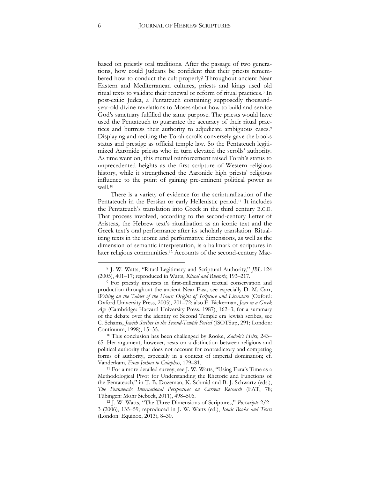based on priestly oral traditions. After the passage of two generations, how could Judeans be confident that their priests remembered how to conduct the cult properly? Throughout ancient Near Eastern and Mediterranean cultures, priests and kings used old ritual texts to validate their renewal or reform of ritual practices.<sup>8</sup> In post-exilic Judea, a Pentateuch containing supposedly thousandyear-old divine revelations to Moses about how to build and service God's sanctuary fulfilled the same purpose. The priests would have used the Pentateuch to guarantee the accuracy of their ritual practices and buttress their authority to adjudicate ambiguous cases.<sup>9</sup> Displaying and reciting the Torah scrolls conversely gave the books status and prestige as official temple law. So the Pentateuch legitimized Aaronide priests who in turn elevated the scrolls' authority. As time went on, this mutual reinforcement raised Torah's status to unprecedented heights as the first scripture of Western religious history, while it strengthened the Aaronide high priests' religious influence to the point of gaining pre-eminent political power as well.<sup>10</sup>

There is a variety of evidence for the scripturalization of the Pentateuch in the Persian or early Hellenistic period.<sup>11</sup> It includes the Pentateuch's translation into Greek in the third century B.C.E. That process involved, according to the second-century Letter of Aristeas, the Hebrew text's ritualization as an iconic text and the Greek text's oral performance after its scholarly translation. Ritualizing texts in the iconic and performative dimensions, as well as the dimension of semantic interpretation, is a hallmark of scriptures in later religious communities. <sup>12</sup> Accounts of the second-century Mac-

<sup>8</sup> J. W. Watts, "Ritual Legitimacy and Scriptural Authority," *JBL* 124 (2005), 401–17; reproduced in Watts, *Ritual and Rhetoric*, 193–217.

<sup>&</sup>lt;sup>9</sup> For priestly interests in first-millennium textual conservation and production throughout the ancient Near East, see especially D. M. Carr, *Writing on the Tablet of the Heart: Origins of Scripture and Literature* (Oxford: Oxford University Press, 2005), 201–72; also E. Bickerman, *Jews in a Greek Age* (Cambridge: Harvard University Press, 1987), 162–3; for a summary of the debate over the identity of Second Temple era Jewish scribes, see C. Schams, *Jewish Scribes in the Second-Temple Period* (JSOTSup, 291; London: Continuum, 1998), 15–35.

<sup>10</sup> This conclusion has been challenged by Rooke, *Zadok's Heirs*, 243– 65. Her argument, however, rests on a distinction between religious and political authority that does not account for contradictory and competing forms of authority, especially in a context of imperial domination; cf. Vanderkam, *From Joshua to Caiaphas*, 179–81.

<sup>11</sup> For a more detailed survey, see J. W. Watts, "Using Ezra's Time as a Methodological Pivot for Understanding the Rhetoric and Functions of the Pentateuch," in T. B. Dozeman, K. Schmid and B. J. Schwartz (eds.), *The Pentateuch: International Perspectives on Current Research* (FAT, 78; Tübingen: Mohr Siebeck, 2011), 498–506.

<sup>12</sup> J. W. Watts, "The Three Dimensions of Scriptures," *Postscripts* 2/2– 3 (2006), 135–59; reproduced in J. W. Watts (ed.), *Iconic Books and Texts* (London: Equinox, 2013), 8–30.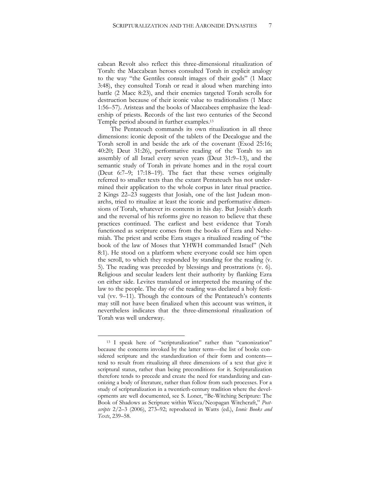cabean Revolt also reflect this three-dimensional ritualization of Torah: the Maccabean heroes consulted Torah in explicit analogy to the way "the Gentiles consult images of their gods" (1 Macc 3:48), they consulted Torah or read it aloud when marching into battle (2 Macc 8:23), and their enemies targeted Torah scrolls for destruction because of their iconic value to traditionalists (1 Macc 1:56–57). Aristeas and the books of Maccabees emphasize the leadership of priests. Records of the last two centuries of the Second Temple period abound in further examples.<sup>13</sup>

The Pentateuch commands its own ritualization in all three dimensions: iconic deposit of the tablets of the Decalogue and the Torah scroll in and beside the ark of the covenant (Exod 25:16; 40:20; Deut 31:26), performative reading of the Torah to an assembly of all Israel every seven years (Deut 31:9–13), and the semantic study of Torah in private homes and in the royal court (Deut 6:7–9; 17:18–19). The fact that these verses originally referred to smaller texts than the extant Pentateuch has not undermined their application to the whole corpus in later ritual practice. 2 Kings 22–23 suggests that Josiah, one of the last Judean monarchs, tried to ritualize at least the iconic and performative dimensions of Torah, whatever its contents in his day. But Josiah's death and the reversal of his reforms give no reason to believe that these practices continued. The earliest and best evidence that Torah functioned as scripture comes from the books of Ezra and Nehemiah. The priest and scribe Ezra stages a ritualized reading of "the book of the law of Moses that YHWH commanded Israel" (Neh 8:1). He stood on a platform where everyone could see him open the scroll, to which they responded by standing for the reading (v. 5). The reading was preceded by blessings and prostrations (v. 6). Religious and secular leaders lent their authority by flanking Ezra on either side. Levites translated or interpreted the meaning of the law to the people. The day of the reading was declared a holy festival (vv. 9–11). Though the contours of the Pentateuch's contents may still not have been finalized when this account was written, it nevertheless indicates that the three-dimensional ritualization of Torah was well underway.

<sup>13</sup> I speak here of "scripturalization" rather than "canonization" because the concerns invoked by the latter term—the list of books considered scripture and the standardization of their form and contents tend to result from ritualizing all three dimensions of a text that give it scriptural status, rather than being preconditions for it. Scripturalization therefore tends to precede and create the need for standardizing and canonizing a body of literature, rather than follow from such processes. For a study of scripturalization in a twentieth-century tradition where the developments are well documented, see S. Loner, "Be-Witching Scripture: The Book of Shadows as Scripture within Wicca/Neopagan Witchcraft," *Postscripts* 2/2–3 (2006), 273–92; reproduced in Watts (ed.), *Iconic Books and Texts*, 239–58.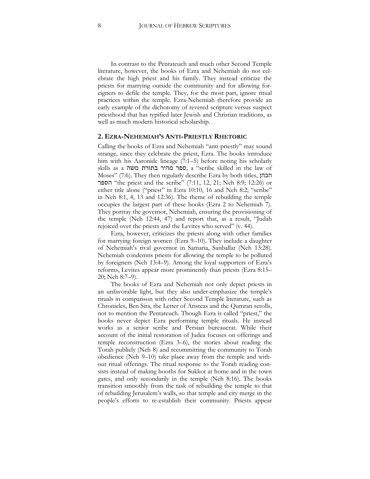In contrast to the Pentateuch and much other Second Temple literature, however, the books of Ezra and Nehemiah do not celebrate the high priest and his family. They instead criticize the priests for marrying outside the community and for allowing foreigners to defile the temple. They, for the most part, ignore ritual practices within the temple. Ezra-Nehemiah therefore provide an early example of the dichotomy of revered scripture versus suspect priesthood that has typified later Jewish and Christian traditions, as well as much modern historical scholarship.

#### **2. EZRA-NEHEMIAH'S ANTI-PRIESTLY RHETORIC**

Calling the books of Ezra and Nehemiah "anti-priestly" may sound strange, since they celebrate the priest, Ezra. The books introduce him with his Aaronide lineage (7:1–5) before noting his scholarly skills as a משה בתורת מהיר ספר, a "scribe skilled in the law of Moses" (7:6). They then regularly describe Ezra by both titles, הכהן הספר" the priest and the scribe" (7:11, 12, 21; Neh 8:9; 12:26) or either title alone ("priest" in Ezra 10:10, 16 and Neh 8:2; "scribe" in Neh 8:1, 4, 13 and 12:36). The theme of rebuilding the temple occupies the largest part of these books (Ezra 2 to Nehemiah 7). They portray the governor, Nehemiah, ensuring the provisioning of the temple (Neh 12:44, 47) and report that, as a result, "Judah rejoiced over the priests and the Levites who served" (v. 44).

Ezra, however, criticizes the priests along with other families for marrying foreign women (Ezra 9–10). They include a daughter of Nehemiah's rival governor in Samaria, Sanballat (Neh 13:28). Nehemiah condemns priests for allowing the temple to be polluted by foreigners (Neh 13:4–9). Among the loyal supporters of Ezra's reforms, Levites appear more prominently than priests (Ezra 8:15– 20; Neh 8:7–9).

The books of Ezra and Nehemiah not only depict priests in an unfavorable light, but they also under-emphasize the temple's rituals in comparison with other Second Temple literature, such as Chronicles, Ben Sira, the Letter of Aristeas and the Qumran scrolls, not to mention the Pentateuch. Though Ezra is called "priest," the books never depict Ezra performing temple rituals. He instead works as a senior scribe and Persian bureaucrat. While their account of the initial restoration of Judea focuses on offerings and temple reconstruction (Ezra 3–6), the stories about reading the Torah publicly (Neh 8) and recommitting the community to Torah obedience (Neh 9–10) take place away from the temple and without ritual offerings. The ritual response to the Torah reading consists instead of making booths for Sukkot at home and in the town gates, and only secondarily in the temple (Neh 8:16). The books transition smoothly from the task of rebuilding the temple to that of rebuilding Jerusalem's walls, so that temple and city merge in the people's efforts to re-establish their community. Priests appear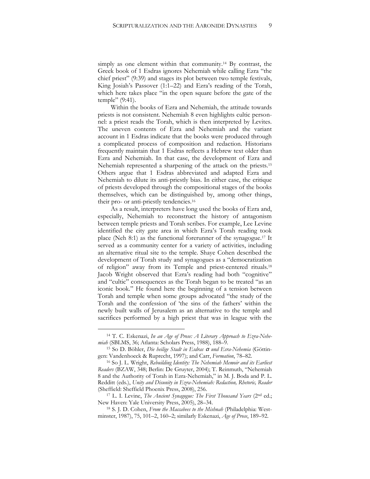simply as one element within that community. <sup>14</sup> By contrast, the Greek book of 1 Esdras ignores Nehemiah while calling Ezra "the chief priest" (9:39) and stages its plot between two temple festivals, King Josiah's Passover (1:1–22) and Ezra's reading of the Torah, which here takes place "in the open square before the gate of the temple" (9:41).

Within the books of Ezra and Nehemiah, the attitude towards priests is not consistent. Nehemiah 8 even highlights cultic personnel: a priest reads the Torah, which is then interpreted by Levites. The uneven contents of Ezra and Nehemiah and the variant account in 1 Esdras indicate that the books were produced through a complicated process of composition and redaction. Historians frequently maintain that 1 Esdras reflects a Hebrew text older than Ezra and Nehemiah. In that case, the development of Ezra and Nehemiah represented a sharpening of the attack on the priests.<sup>15</sup> Others argue that 1 Esdras abbreviated and adapted Ezra and Nehemiah to dilute its anti-priestly bias. In either case, the critique of priests developed through the compositional stages of the books themselves, which can be distinguished by, among other things, their pro- or anti-priestly tendencies.<sup>16</sup>

As a result, interpreters have long used the books of Ezra and, especially, Nehemiah to reconstruct the history of antagonism between temple priests and Torah scribes. For example, Lee Levine identified the city gate area in which Ezra's Torah reading took place (Neh 8:1) as the functional forerunner of the synagogue.<sup>17</sup> It served as a community center for a variety of activities, including an alternative ritual site to the temple. Shaye Cohen described the development of Torah study and synagogues as a "democratization of religion" away from its Temple and priest-centered rituals. 18 Jacob Wright observed that Ezra's reading had both "cognitive" and "cultic" consequences as the Torah began to be treated "as an iconic book." He found here the beginning of a tension between Torah and temple when some groups advocated "the study of the Torah and the confession of 'the sins of the fathers' within the newly built walls of Jerusalem as an alternative to the temple and sacrifices performed by a high priest that was in league with the

<sup>14</sup> T. C. Eskenazi, *In an Age of Prose: A Literary Approach to Ezra-Nehemiah* (SBLMS, 36; Atlanta: Scholars Press, 1988), 188–9.

<sup>15</sup> So D. Böhler, *Die heilige Stadt in Esdras* <sup>a</sup> *und Esra-Nehemia* (Göttingen: Vandenhoeck & Ruprecht, 1997); and Carr, *Formation*, 78–82.

<sup>16</sup> So J. L. Wright, *Rebuilding Identity: The Nehemiah Memoir and its Earliest Readers* (BZAW, 348; Berlin: De Gruyter, 2004); T. Reinmuth, "Nehemiah 8 and the Authority of Torah in Ezra-Nehemiah," in M. J. Boda and P. L. Redditt (eds.), *Unity and Disunity in Ezra-Nehemiah: Redaction, Rhetoric, Reader* (Sheffield: Sheffield Phoenix Press, 2008), 256.

<sup>17</sup> L. I. Levine, *The Ancient Synagogue: The First Thousand Years* (2nd ed.; New Haven: Yale University Press, 2005), 28–34.

<sup>18</sup> S. J. D. Cohen, *From the Maccabees to the Mishnah* (Philadelphia: Westminster, 1987), 75, 101–2, 160–2; similarly Eskenazi, *Age of Prose*, 189–92.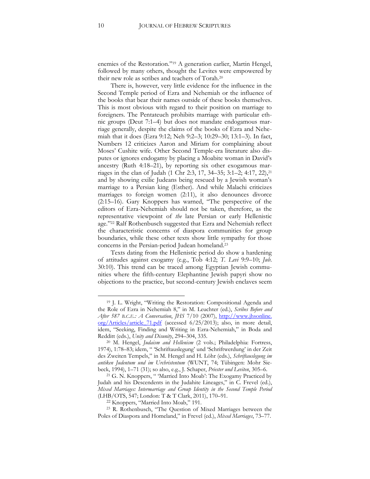enemies of the Restoration."<sup>19</sup> A generation earlier, Martin Hengel, followed by many others, thought the Levites were empowered by their new role as scribes and teachers of Torah.<sup>20</sup>

There is, however, very little evidence for the influence in the Second Temple period of Ezra and Nehemiah or the influence of the books that bear their names outside of these books themselves. This is most obvious with regard to their position on marriage to foreigners. The Pentateuch prohibits marriage with particular ethnic groups (Deut 7:1–4) but does not mandate endogamous marriage generally, despite the claims of the books of Ezra and Nehemiah that it does (Ezra 9:12; Neh 9:2–3; 10:29–30; 13:1–3). In fact, Numbers 12 criticizes Aaron and Miriam for complaining about Moses' Cushite wife. Other Second Temple-era literature also disputes or ignores endogamy by placing a Moabite woman in David's ancestry (Ruth 4:18–21), by reporting six other exogamous marriages in the clan of Judah (1 Chr 2:3, 17, 34–35; 3:1–2; 4:17, 22),<sup>21</sup> and by showing exilic Judeans being rescued by a Jewish woman's marriage to a Persian king (Esther). And while Malachi criticizes marriages to foreign women  $(2.11)$ , it also denounces divorce (2:15–16). Gary Knoppers has warned, "The perspective of the editors of Ezra-Nehemiah should not be taken, therefore, as the representative viewpoint of *the* late Persian or early Hellenistic age."<sup>22</sup> Ralf Rothenbusch suggested that Ezra and Nehemiah reflect the characteristic concerns of diaspora communities for group boundaries, while these other texts show little sympathy for those concerns in the Persian-period Judean homeland.<sup>23</sup>

Texts dating from the Hellenistic period do show a hardening of attitudes against exogamy (e.g., Tob 4:12; *T. Levi* 9:9–10; *Jub*. 30:10). This trend can be traced among Egyptian Jewish communities where the fifth-century Elephantine Jewish papyri show no objections to the practice, but second-century Jewish enclaves seem

<sup>19</sup> J. L. Wright, "Writing the Restoration: Compositional Agenda and the Role of Ezra in Nehemiah 8," in M. Leuchter (ed.), *Scribes Before and After 587 B.C.E.: A Conversation*, *JHS* 7/10 (2007), http://www.jhsonline. org/Articles/article\_71.pdf (accessed 6/25/2013); also, in more detail, idem, "Seeking, Finding and Writing in Ezra-Nehemiah," in Boda and Redditt (eds.), *Unity and Disunity*, 294–304, 335.

<sup>20</sup> M. Hengel, *Judaism and Hellenism* (2 vols.; Philadelphia: Fortress, 1974), 1:78–83; idem, " 'Schriftauslegung' und 'Schriftwerdung' in der Zeit des Zweiten Tempels," in M. Hengel and H. Löhr (eds.), *Schriftauslegung im antiken Judentum und im Urchristentum* (WUNT, 74; Tübingen: Mohr Siebeck, 1994), 1–71 (31); so also, e.g., J. Schaper, *Priester und Leviten*, 305–6.

<sup>21</sup> G. N. Knoppers, " 'Married Into Moab': The Exogamy Practiced by Judah and his Descendents in the Judahite Lineages," in C. Frevel (ed.), *Mixed Marriages: Intermarriage and Group Identity in the Second Temple Period* (LHB/OTS, 547; London: T & T Clark, 2011), 170–91.

<sup>22</sup> Knoppers, "Married Into Moab," 191.

<sup>23</sup> R. Rothenbusch, "The Question of Mixed Marriages between the Poles of Diaspora and Homeland," in Frevel (ed.), *Mixed Marriages*, 73–77.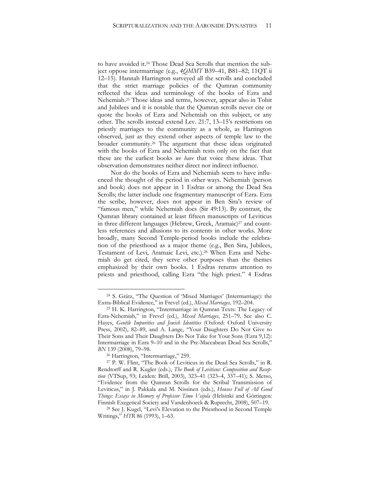to have avoided it.<sup>24</sup> Those Dead Sea Scrolls that mention the subject oppose intermarriage (e.g., *4QMMT* B39–41, B81–82; 11QT ii 12–15). Hannah Harrington surveyed all the scrolls and concluded that the strict marriage policies of the Qumran community reflected the ideas and terminology of the books of Ezra and Nehemiah.<sup>25</sup> Those ideas and terms, however, appear also in Tobit and Jubilees and it is notable that the Qumran scrolls never cite or quote the books of Ezra and Nehemiah on this subject, or any other. The scrolls instead extend Lev. 21:7, 13–15's restrictions on priestly marriages to the community as a whole, as Harrington observed, just as they extend other aspects of temple law to the broader community. <sup>26</sup> The argument that these ideas originated with the books of Ezra and Nehemiah rests only on the fact that these are the earliest books *we have* that voice these ideas. That observation demonstrates neither direct nor indirect influence.

Nor do the books of Ezra and Nehemiah seem to have influenced the thought of the period in other ways. Nehemiah (person and book) does not appear in 1 Esdras or among the Dead Sea Scrolls; the latter include one fragmentary manuscript of Ezra. Ezra the scribe, however, does not appear in Ben Sira's review of "famous men," while Nehemiah does (Sir 49:13). By contrast, the Qumran library contained at least fifteen manuscripts of Leviticus in three different languages (Hebrew, Greek, Aramaic)<sup>27</sup> and countless references and allusions to its contents in other works. More broadly, many Second Temple-period books include the celebration of the priesthood as a major theme (e.g., Ben Sira, Jubilees, Testament of Levi, Aramaic Levi, etc.).<sup>28</sup> When Ezra and Nehemiah do get cited, they serve other purposes than the themes emphasized by their own books. 1 Esdras returns attention to priests and priesthood, calling Ezra "the high priest." 4 Esdras

<sup>24</sup> S. Grätz, "The Question of 'Mixed Marriages' (Intermarriage): the Extra-Biblical Evidence," in Frevel (ed.), *Mixed Marriages,* 192–204.

<sup>25</sup> H. K. Harrington, "Intermarriage in Qumran Texts: The Legacy of Ezra-Nehemiah," in Frevel (ed.), *Mixed Marriages*, 251–79. See also C. Hayes, *Gentile Impurities and Jewish Identities* (Oxford: Oxford University Press, 2002), 82–89, and A. Lange, "Your Daughters Do Not Give to Their Sons and Their Daughters Do Not Take for Your Sons (Ezra 9,12): Intermarriage in Ezra 9–10 and in the Pre-Maccabean Dead Sea Scrolls," *BN* 139 (2008), 79–98.

<sup>&</sup>lt;sup>26</sup> Harrington, "Intermarriage," 259.

<sup>27</sup> P. W. Flint, "The Book of Leviticus in the Dead Sea Scrolls," in R. Rendtorff and R. Kugler (eds.), *The Book of Leviticus: Composition and Reception* (VTSup, 93; Leiden: Brill, 2003), 323–41 (323–4, 337–41); S. Metso, "Evidence from the Qumran Scrolls for the Scribal Transmission of Leviticus," in J. Pakkala and M. Nissinen (eds.), *Houses Full of All Good Things: Essays in Memory of Professor Timo Veijola* (Helsinki and Göttingen: Finnish Exegetical Society and Vandenhoeck & Ruprecht, 2008), 507–19.

<sup>28</sup> See J. Kugel, "Levi's Elevation to the Priesthood in Second Temple Writings," *HTR* 86 (1993), 1–63.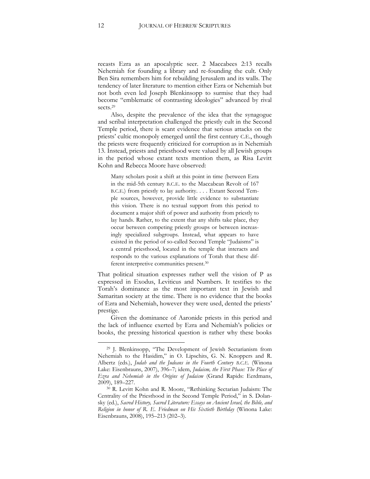recasts Ezra as an apocalyptic seer. 2 Maccabees 2:13 recalls Nehemiah for founding a library and re-founding the cult. Only Ben Sira remembers him for rebuilding Jerusalem and its walls. The tendency of later literature to mention either Ezra or Nehemiah but not both even led Joseph Blenkinsopp to surmise that they had become "emblematic of contrasting ideologies" advanced by rival sects.<sup>29</sup>

Also, despite the prevalence of the idea that the synagogue and scribal interpretation challenged the priestly cult in the Second Temple period, there is scant evidence that serious attacks on the priests' cultic monopoly emerged until the first century C.E., though the priests were frequently criticized for corruption as in Nehemiah 13. Instead, priests and priesthood were valued by all Jewish groups in the period whose extant texts mention them, as Risa Levitt Kohn and Rebecca Moore have observed:

Many scholars posit a shift at this point in time (between Ezra in the mid-5th century B.C.E. to the Maccabean Revolt of 167 B.C.E.) from priestly to lay authority. . . . Extant Second Temple sources, however, provide little evidence to substantiate this vision. There is no textual support from this period to document a major shift of power and authority from priestly to lay hands. Rather, to the extent that any shifts take place, they occur between competing priestly groups or between increasingly specialized subgroups. Instead, what appears to have existed in the period of so-called Second Temple "Judaisms" is a central priesthood, located in the temple that interacts and responds to the various explanations of Torah that these different interpretive communities present.<sup>30</sup>

That political situation expresses rather well the vision of P as expressed in Exodus, Leviticus and Numbers. It testifies to the Torah's dominance as the most important text in Jewish and Samaritan society at the time. There is no evidence that the books of Ezra and Nehemiah, however they were used, dented the priests' prestige.

Given the dominance of Aaronide priests in this period and the lack of influence exerted by Ezra and Nehemiah's policies or books, the pressing historical question is rather why these books

<sup>29</sup> J. Blenkinsopp, "The Development of Jewish Sectarianism from Nehemiah to the Hasidim," in O. Lipschits, G. N. Knoppers and R. Albertz (eds.), *Judah and the Judeans in the Fourth Century B.C.E.* (Winona Lake: Eisenbrauns, 2007), 396–7; idem, *Judaism, the First Phase: The Place of Ezra and Nehemiah in the Origins of Judaism* (Grand Rapids: Eerdmans, 2009), 189–227.

<sup>30</sup> R. Levitt Kohn and R. Moore, "Rethinking Sectarian Judaism: The Centrality of the Priesthood in the Second Temple Period," in S. Dolansky (ed.), *Sacred History, Sacred Literature: Essays on Ancient Israel, the Bible, and Religion in honor of R. E. Friedman on His Sixtieth Birthday* (Winona Lake: Eisenbrauns, 2008), 195–213 (202–3).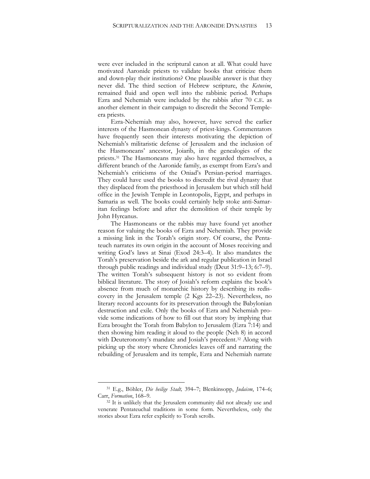were ever included in the scriptural canon at all. What could have motivated Aaronide priests to validate books that criticize them and down-play their institutions? One plausible answer is that they never did. The third section of Hebrew scripture, the *Ketuvim*, remained fluid and open well into the rabbinic period. Perhaps Ezra and Nehemiah were included by the rabbis after 70 C.E. as another element in their campaign to discredit the Second Templeera priests.

Ezra-Nehemiah may also, however, have served the earlier interests of the Hasmonean dynasty of priest-kings. Commentators have frequently seen their interests motivating the depiction of Nehemiah's militaristic defense of Jerusalem and the inclusion of the Hasmoneans' ancestor, Joiarib, in the genealogies of the priests.<sup>31</sup> The Hasmoneans may also have regarded themselves, a different branch of the Aaronide family, as exempt from Ezra's and Nehemiah's criticisms of the Oniad's Persian-period marriages. They could have used the books to discredit the rival dynasty that they displaced from the priesthood in Jerusalem but which still held office in the Jewish Temple in Leontopolis, Egypt, and perhaps in Samaria as well. The books could certainly help stoke anti-Samaritan feelings before and after the demolition of their temple by John Hyrcanus.

The Hasmoneans or the rabbis may have found yet another reason for valuing the books of Ezra and Nehemiah. They provide a missing link in the Torah's origin story. Of course, the Pentateuch narrates its own origin in the account of Moses receiving and writing God's laws at Sinai (Exod 24:3–4). It also mandates the Torah's preservation beside the ark and regular publication in Israel through public readings and individual study (Deut 31:9–13; 6:7–9). The written Torah's subsequent history is not so evident from biblical literature. The story of Josiah's reform explains the book's absence from much of monarchic history by describing its rediscovery in the Jerusalem temple (2 Kgs 22–23). Nevertheless, no literary record accounts for its preservation through the Babylonian destruction and exile. Only the books of Ezra and Nehemiah provide some indications of how to fill out that story by implying that Ezra brought the Torah from Babylon to Jerusalem (Ezra 7:14) and then showing him reading it aloud to the people (Neh 8) in accord with Deuteronomy's mandate and Josiah's precedent.<sup>32</sup> Along with picking up the story where Chronicles leaves off and narrating the rebuilding of Jerusalem and its temple, Ezra and Nehemiah narrate

<sup>31</sup> E.g., Böhler, *Die heilige Stadt,* 394–7; Blenkinsopp, *Judaism*, 174–6; Carr, *Formation*, 168–9.

<sup>&</sup>lt;sup>32</sup> It is unlikely that the Jerusalem community did not already use and venerate Pentateuchal traditions in some form. Nevertheless, only the stories about Ezra refer explicitly to Torah scrolls.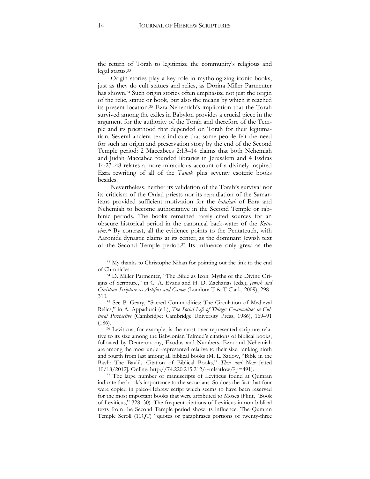the return of Torah to legitimize the community's religious and legal status.<sup>33</sup>

Origin stories play a key role in mythologizing iconic books, just as they do cult statues and relics, as Dorina Miller Parmenter has shown.<sup>34</sup> Such origin stories often emphasize not just the origin of the relic, statue or book, but also the means by which it reached its present location.<sup>35</sup> Ezra-Nehemiah's implication that the Torah survived among the exiles in Babylon provides a crucial piece in the argument for the authority of the Torah and therefore of the Temple and its priesthood that depended on Torah for their legitimation. Several ancient texts indicate that some people felt the need for such an origin and preservation story by the end of the Second Temple period: 2 Maccabees 2:13–14 claims that both Nehemiah and Judah Maccabee founded libraries in Jerusalem and 4 Esdras 14:23–48 relates a more miraculous account of a divinely inspired Ezra rewriting of all of the *Tanak* plus seventy esoteric books besides.

Nevertheless, neither its validation of the Torah's survival nor its criticism of the Oniad priests nor its repudiation of the Samaritans provided sufficient motivation for the *halakah* of Ezra and Nehemiah to become authoritative in the Second Temple or rabbinic periods. The books remained rarely cited sources for an obscure historical period in the canonical back-water of the *Ketu*vim.<sup>36</sup> By contrast, all the evidence points to the Pentateuch, with Aaronide dynastic claims at its center, as the dominant Jewish text of the Second Temple period.<sup>37</sup> Its influence only grew as the

<sup>&</sup>lt;sup>33</sup> My thanks to Christophe Nihan for pointing out the link to the end of Chronicles.

<sup>34</sup> D. Miller Parmenter, "The Bible as Icon: Myths of the Divine Origins of Scripture," in C. A. Evans and H. D. Zacharias (eds.), *Jewish and Christian Scripture as Artifact and Canon* (London: T & T Clark, 2009), 298– 310.

<sup>35</sup> See P. Geary, "Sacred Commodities: The Circulation of Medieval Relics," in A. Appadurai (ed.), *The Social Life of Things: Commodities in Cultural Perspective* (Cambridge: Cambridge University Press, 1986), 169–91 (186).

<sup>36</sup> Leviticus, for example, is the most over-represented scripture relative to its size among the Babylonian Talmud's citations of biblical books, followed by Deuteronomy, Exodus and Numbers. Ezra and Nehemiah are among the most under-represented relative to their size, ranking ninth and fourth from last among all biblical books (M. L. Satlow, "Bible in the Bavli: The Bavli's Citation of Biblical Books," *Then and Now* [cited 10/18/2012]. Online: http://74.220.215.212/~mlsatlow/?p=491).

<sup>&</sup>lt;sup>37</sup> The large number of manuscripts of Leviticus found at Qumran indicate the book's importance to the sectarians. So does the fact that four were copied in paleo-Hebrew script which seems to have been reserved for the most important books that were attributed to Moses (Flint, "Book of Leviticus," 328–30). The frequent citations of Leviticus in non-biblical texts from the Second Temple period show its influence. The Qumran Temple Scroll (11QT) "quotes or paraphrases portions of twenty-three